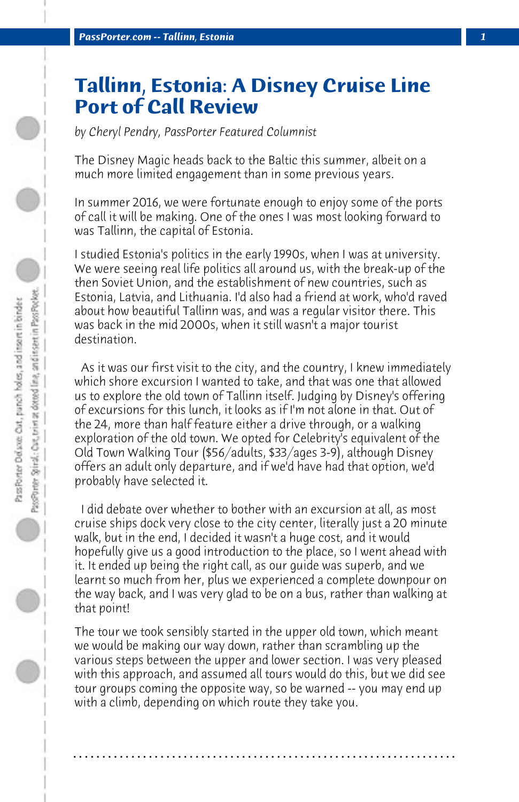## **Tallinn, Estonia: A Disney Cruise Line Port of Call Review**

*by Cheryl Pendry, PassPorter Featured Columnist*

The Disney Magic heads back to the Baltic this summer, albeit on a much more limited engagement than in some previous years.

In summer 2016, we were fortunate enough to enjoy some of the ports of call it will be making. One of the ones I was most looking forward to was Tallinn, the capital of Estonia.

I studied Estonia's politics in the early 1990s, when I was at university. We were seeing real life politics all around us, with the break-up of the then Soviet Union, and the establishment of new countries, such as Estonia, Latvia, and Lithuania. I'd also had a friend at work, who'd raved about how beautiful Tallinn was, and was a regular visitor there. This was back in the mid 2000s, when it still wasn't a major tourist destination.

 As it was our first visit to the city, and the country, I knew immediately which shore excursion I wanted to take, and that was one that allowed us to explore the old town of Tallinn itself. Judging by Disney's offering of excursions for this lunch, it looks as if I'm not alone in that. Out of the 24, more than half feature either a drive through, or a walking exploration of the old town. We opted for Celebrity's equivalent of the Old Town Walking Tour (\$56/adults, \$33/ages 3-9), although Disney offers an adult only departure, and if we'd have had that option, we'd probably have selected it.

 I did debate over whether to bother with an excursion at all, as most cruise ships dock very close to the city center, literally just a 20 minute walk, but in the end, I decided it wasn't a huge cost, and it would hopefully give us a good introduction to the place, so I went ahead with it. It ended up being the right call, as our guide was superb, and we learnt so much from her, plus we experienced a complete downpour on the way back, and I was very glad to be on a bus, rather than walking at that point!

The tour we took sensibly started in the upper old town, which meant we would be making our way down, rather than scrambling up the various steps between the upper and lower section. I was very pleased with this approach, and assumed all tours would do this, but we did see tour groups coming the opposite way, so be warned -- you may end up with a climb, depending on which route they take you.

**. . . . . . . . . . . . . . . . . . . . . . . . . . . . . . . . . . . . . . . . . . . . . . . . . . . . . . . . . . . . . . . . . .**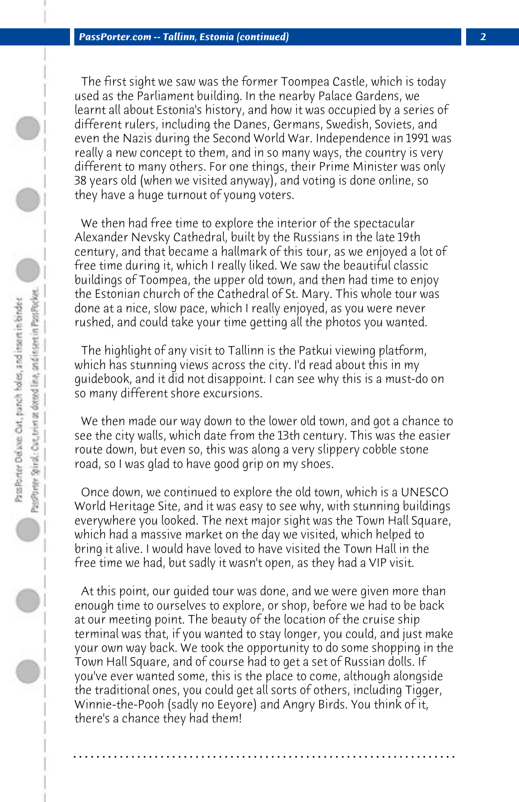The first sight we saw was the former Toompea Castle, which is today used as the Parliament building. In the nearby Palace Gardens, we learnt all about Estonia's history, and how it was occupied by a series of different rulers, including the Danes, Germans, Swedish, Soviets, and even the Nazis during the Second World War. Independence in 1991 was really a new concept to them, and in so many ways, the country is very different to many others. For one things, their Prime Minister was only 38 years old (when we visited anyway), and voting is done online, so they have a huge turnout of young voters.

 We then had free time to explore the interior of the spectacular Alexander Nevsky Cathedral, built by the Russians in the late 19th century, and that became a hallmark of this tour, as we enjoyed a lot of free time during it, which I really liked. We saw the beautiful classic buildings of Toompea, the upper old town, and then had time to enjoy the Estonian church of the Cathedral of St. Mary. This whole tour was done at a nice, slow pace, which I really enjoyed, as you were never rushed, and could take your time getting all the photos you wanted.

 The highlight of any visit to Tallinn is the Patkui viewing platform, which has stunning views across the city. I'd read about this in my guidebook, and it did not disappoint. I can see why this is a must-do on so many different shore excursions.

 We then made our way down to the lower old town, and got a chance to see the city walls, which date from the 13th century. This was the easier route down, but even so, this was along a very slippery cobble stone road, so I was glad to have good grip on my shoes.

 Once down, we continued to explore the old town, which is a UNESCO World Heritage Site, and it was easy to see why, with stunning buildings everywhere you looked. The next major sight was the Town Hall Square, which had a massive market on the day we visited, which helped to bring it alive. I would have loved to have visited the Town Hall in the free time we had, but sadly it wasn't open, as they had a VIP visit.

 At this point, our guided tour was done, and we were given more than enough time to ourselves to explore, or shop, before we had to be back at our meeting point. The beauty of the location of the cruise ship terminal was that, if you wanted to stay longer, you could, and just make your own way back. We took the opportunity to do some shopping in the Town Hall Square, and of course had to get a set of Russian dolls. If you've ever wanted some, this is the place to come, although alongside the traditional ones, you could get all sorts of others, including Tigger, Winnie-the-Pooh (sadly no Eeyore) and Angry Birds. You think of it, there's a chance they had them!

**. . . . . . . . . . . . . . . . . . . . . . . . . . . . . . . . . . . . . . . . . . . . . . . . . . . . . . . . . . . . . . . . . .**